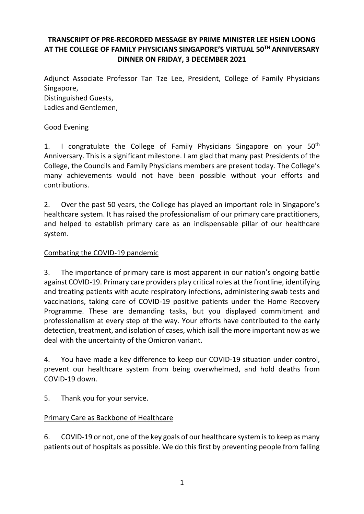## **TRANSCRIPT OF PRE-RECORDED MESSAGE BY PRIME MINISTER LEE HSIEN LOONG AT THE COLLEGE OF FAMILY PHYSICIANS SINGAPORE'S VIRTUAL 50TH ANNIVERSARY DINNER ON FRIDAY, 3 DECEMBER 2021**

Adjunct Associate Professor Tan Tze Lee, President, College of Family Physicians Singapore,

Distinguished Guests,

Ladies and Gentlemen,

#### Good Evening

1. I congratulate the College of Family Physicians Singapore on your  $50<sup>th</sup>$ Anniversary. This is a significant milestone. I am glad that many past Presidents of the College, the Councils and Family Physicians members are present today. The College's many achievements would not have been possible without your efforts and contributions.

2. Over the past 50 years, the College has played an important role in Singapore's healthcare system. It has raised the professionalism of our primary care practitioners, and helped to establish primary care as an indispensable pillar of our healthcare system.

#### Combating the COVID-19 pandemic

3. The importance of primary care is most apparent in our nation's ongoing battle against COVID-19. Primary care providers play critical roles at the frontline, identifying and treating patients with acute respiratory infections, administering swab tests and vaccinations, taking care of COVID-19 positive patients under the Home Recovery Programme. These are demanding tasks, but you displayed commitment and professionalism at every step of the way. Your efforts have contributed to the early detection, treatment, and isolation of cases, which isall the more important now as we deal with the uncertainty of the Omicron variant.

4. You have made a key difference to keep our COVID-19 situation under control, prevent our healthcare system from being overwhelmed, and hold deaths from COVID-19 down.

5. Thank you for your service.

#### Primary Care as Backbone of Healthcare

6. COVID-19 or not, one of the key goals of our healthcare system is to keep as many patients out of hospitals as possible. We do this first by preventing people from falling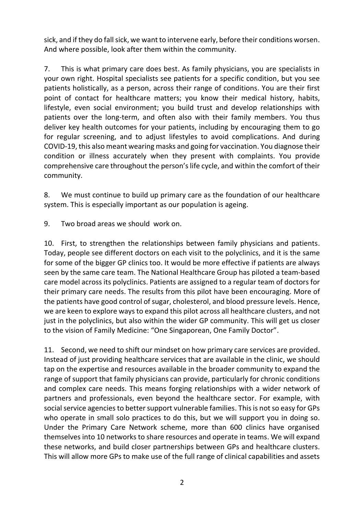sick, and if they do fall sick, we want to intervene early, before their conditions worsen. And where possible, look after them within the community.

7. This is what primary care does best. As family physicians, you are specialists in your own right. Hospital specialists see patients for a specific condition, but you see patients holistically, as a person, across their range of conditions. You are their first point of contact for healthcare matters; you know their medical history, habits, lifestyle, even social environment; you build trust and develop relationships with patients over the long-term, and often also with their family members. You thus deliver key health outcomes for your patients, including by encouraging them to go for regular screening, and to adjust lifestyles to avoid complications. And during COVID-19, this also meant wearing masks and going for vaccination. You diagnose their condition or illness accurately when they present with complaints. You provide comprehensive care throughout the person's life cycle, and within the comfort of their community.

8. We must continue to build up primary care as the foundation of our healthcare system. This is especially important as our population is ageing.

9. Two broad areas we should work on.

10. First, to strengthen the relationships between family physicians and patients. Today, people see different doctors on each visit to the polyclinics, and it is the same for some of the bigger GP clinics too. It would be more effective if patients are always seen by the same care team. The National Healthcare Group has piloted a team-based care model across its polyclinics. Patients are assigned to a regular team of doctors for their primary care needs. The results from this pilot have been encouraging. More of the patients have good control of sugar, cholesterol, and blood pressure levels. Hence, we are keen to explore ways to expand this pilot across all healthcare clusters, and not just in the polyclinics, but also within the wider GP community. This will get us closer to the vision of Family Medicine: "One Singaporean, One Family Doctor".

11. Second, we need to shift our mindset on how primary care services are provided. Instead of just providing healthcare services that are available in the clinic, we should tap on the expertise and resources available in the broader community to expand the range of support that family physicians can provide, particularly for chronic conditions and complex care needs. This means forging relationships with a wider network of partners and professionals, even beyond the healthcare sector. For example, with social service agencies to better support vulnerable families. This is not so easy for GPs who operate in small solo practices to do this, but we will support you in doing so. Under the Primary Care Network scheme, more than 600 clinics have organised themselves into 10 networks to share resources and operate in teams. We will expand these networks, and build closer partnerships between GPs and healthcare clusters. This will allow more GPs to make use of the full range of clinical capabilities and assets